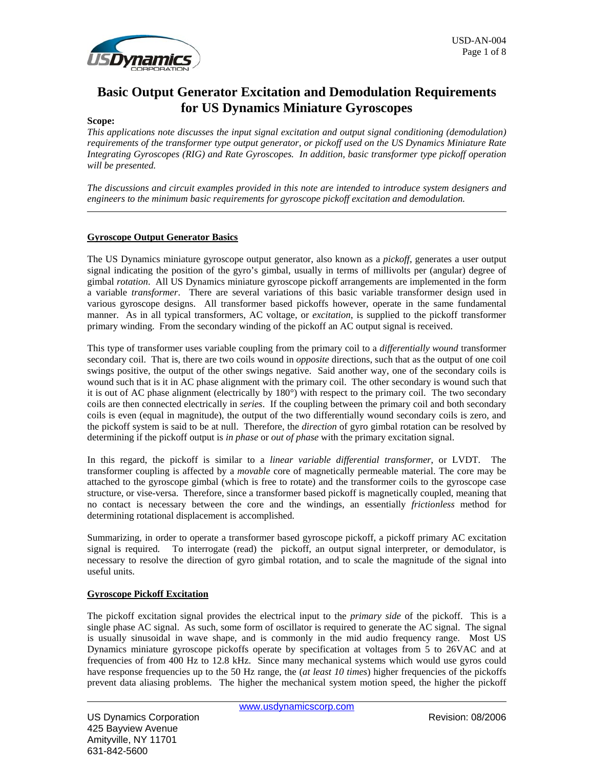

# **Basic Output Generator Excitation and Demodulation Requirements for US Dynamics Miniature Gyroscopes**

#### **Scope:**

*This applications note discusses the input signal excitation and output signal conditioning (demodulation) requirements of the transformer type output generator, or pickoff used on the US Dynamics Miniature Rate Integrating Gyroscopes (RIG) and Rate Gyroscopes. In addition, basic transformer type pickoff operation will be presented.*

*The discussions and circuit examples provided in this note are intended to introduce system designers and engineers to the minimum basic requirements for gyroscope pickoff excitation and demodulation.*

# **Gyroscope Output Generator Basics**

The US Dynamics miniature gyroscope output generator, also known as a *pickoff*, generates a user output signal indicating the position of the gyro's gimbal, usually in terms of millivolts per (angular) degree of gimbal *rotation*. All US Dynamics miniature gyroscope pickoff arrangements are implemented in the form a variable *transformer*. There are several variations of this basic variable transformer design used in various gyroscope designs. All transformer based pickoffs however, operate in the same fundamental manner. As in all typical transformers, AC voltage, or *excitation*, is supplied to the pickoff transformer primary winding. From the secondary winding of the pickoff an AC output signal is received.

This type of transformer uses variable coupling from the primary coil to a *differentially wound* transformer secondary coil. That is, there are two coils wound in *opposite* directions, such that as the output of one coil swings positive, the output of the other swings negative. Said another way, one of the secondary coils is wound such that is it in AC phase alignment with the primary coil. The other secondary is wound such that it is out of AC phase alignment (electrically by 180°) with respect to the primary coil. The two secondary coils are then connected electrically in *series*. If the coupling between the primary coil and both secondary coils is even (equal in magnitude), the output of the two differentially wound secondary coils is zero, and the pickoff system is said to be at null. Therefore, the *direction* of gyro gimbal rotation can be resolved by determining if the pickoff output is *in phase* or *out of phase* with the primary excitation signal.

In this regard, the pickoff is similar to a *linear variable differential transformer*, or LVDT. The transformer coupling is affected by a *movable* core of magnetically permeable material. The core may be attached to the gyroscope gimbal (which is free to rotate) and the transformer coils to the gyroscope case structure, or vise-versa. Therefore, since a transformer based pickoff is magnetically coupled, meaning that no contact is necessary between the core and the windings, an essentially *frictionless* method for determining rotational displacement is accomplished.

Summarizing, in order to operate a transformer based gyroscope pickoff, a pickoff primary AC excitation signal is required. To interrogate (read) the pickoff, an output signal interpreter, or demodulator, is necessary to resolve the direction of gyro gimbal rotation, and to scale the magnitude of the signal into useful units.

### **Gyroscope Pickoff Excitation**

The pickoff excitation signal provides the electrical input to the *primary side* of the pickoff. This is a single phase AC signal. As such, some form of oscillator is required to generate the AC signal. The signal is usually sinusoidal in wave shape, and is commonly in the mid audio frequency range. Most US Dynamics miniature gyroscope pickoffs operate by specification at voltages from 5 to 26VAC and at frequencies of from 400 Hz to 12.8 kHz. Since many mechanical systems which would use gyros could have response frequencies up to the 50 Hz range, the (*at least 10 times*) higher frequencies of the pickoffs prevent data aliasing problems. The higher the mechanical system motion speed, the higher the pickoff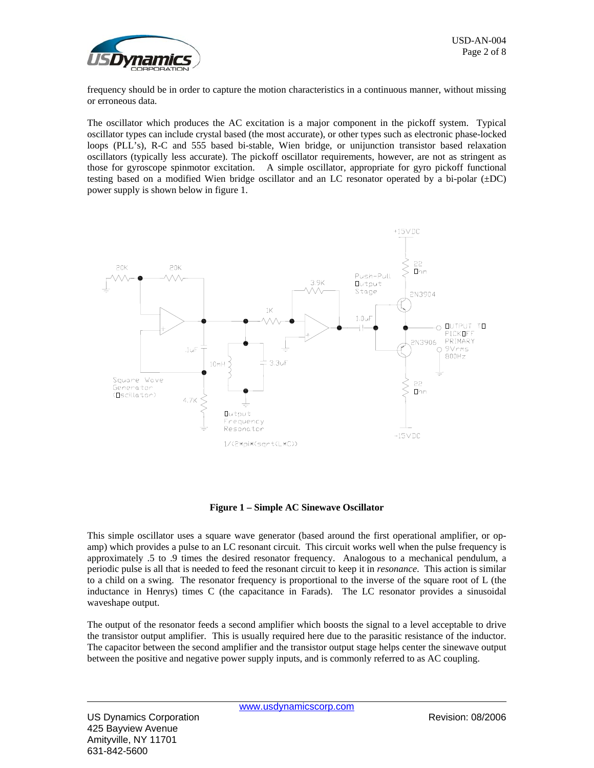

frequency should be in order to capture the motion characteristics in a continuous manner, without missing or erroneous data.

The oscillator which produces the AC excitation is a major component in the pickoff system. Typical oscillator types can include crystal based (the most accurate), or other types such as electronic phase-locked loops (PLL's), R-C and 555 based bi-stable, Wien bridge, or unijunction transistor based relaxation oscillators (typically less accurate). The pickoff oscillator requirements, however, are not as stringent as those for gyroscope spinmotor excitation. A simple oscillator, appropriate for gyro pickoff functional testing based on a modified Wien bridge oscillator and an LC resonator operated by a bi-polar  $(\pm DC)$ power supply is shown below in figure 1.



**Figure 1 – Simple AC Sinewave Oscillator** 

This simple oscillator uses a square wave generator (based around the first operational amplifier, or opamp) which provides a pulse to an LC resonant circuit. This circuit works well when the pulse frequency is approximately .5 to .9 times the desired resonator frequency. Analogous to a mechanical pendulum, a periodic pulse is all that is needed to feed the resonant circuit to keep it in *resonance*. This action is similar to a child on a swing. The resonator frequency is proportional to the inverse of the square root of L (the inductance in Henrys) times C (the capacitance in Farads). The LC resonator provides a sinusoidal waveshape output.

The output of the resonator feeds a second amplifier which boosts the signal to a level acceptable to drive the transistor output amplifier. This is usually required here due to the parasitic resistance of the inductor. The capacitor between the second amplifier and the transistor output stage helps center the sinewave output between the positive and negative power supply inputs, and is commonly referred to as AC coupling.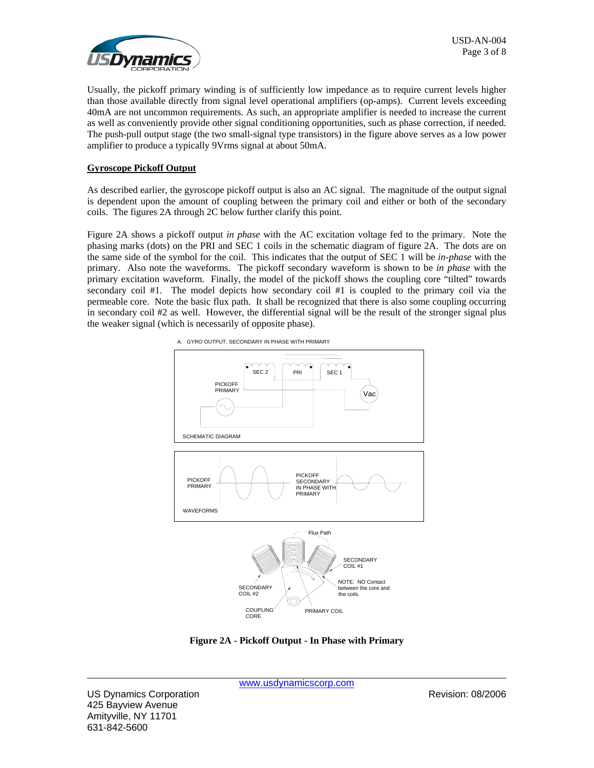

Usually, the pickoff primary winding is of sufficiently low impedance as to require current levels higher than those available directly from signal level operational amplifiers (op-amps). Current levels exceeding 40mA are not uncommon requirements. As such, an appropriate amplifier is needed to increase the current as well as conveniently provide other signal conditioning opportunities, such as phase correction, if needed. The push-pull output stage (the two small-signal type transistors) in the figure above serves as a low power amplifier to produce a typically 9Vrms signal at about 50mA.

### **Gyroscope Pickoff Output**

As described earlier, the gyroscope pickoff output is also an AC signal. The magnitude of the output signal is dependent upon the amount of coupling between the primary coil and either or both of the secondary coils. The figures 2A through 2C below further clarify this point.

Figure 2A shows a pickoff output *in phase* with the AC excitation voltage fed to the primary. Note the phasing marks (dots) on the PRI and SEC 1 coils in the schematic diagram of figure 2A. The dots are on the same side of the symbol for the coil. This indicates that the output of SEC 1 will be *in-phase* with the primary. Also note the waveforms. The pickoff secondary waveform is shown to be *in phase* with the primary excitation waveform. Finally, the model of the pickoff shows the coupling core "tilted" towards secondary coil #1. The model depicts how secondary coil #1 is coupled to the primary coil via the permeable core. Note the basic flux path. It shall be recognized that there is also some coupling occurring in secondary coil #2 as well. However, the differential signal will be the result of the stronger signal plus the weaker signal (which is necessarily of opposite phase).



**Figure 2A - Pickoff Output - In Phase with Primary**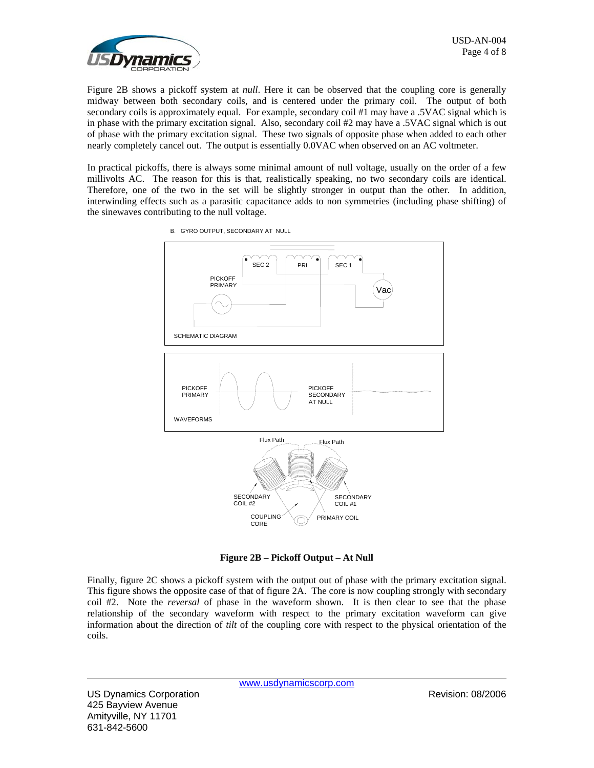

Figure 2B shows a pickoff system at *null*. Here it can be observed that the coupling core is generally midway between both secondary coils, and is centered under the primary coil. The output of both secondary coils is approximately equal. For example, secondary coil #1 may have a .5VAC signal which is in phase with the primary excitation signal. Also, secondary coil #2 may have a .5VAC signal which is out of phase with the primary excitation signal. These two signals of opposite phase when added to each other nearly completely cancel out. The output is essentially 0.0VAC when observed on an AC voltmeter.

In practical pickoffs, there is always some minimal amount of null voltage, usually on the order of a few millivolts AC. The reason for this is that, realistically speaking, no two secondary coils are identical. Therefore, one of the two in the set will be slightly stronger in output than the other. In addition, interwinding effects such as a parasitic capacitance adds to non symmetries (including phase shifting) of the sinewaves contributing to the null voltage.



B. GYRO OUTPUT, SECONDARY AT NULL

**Figure 2B – Pickoff Output – At Null**

Finally, figure 2C shows a pickoff system with the output out of phase with the primary excitation signal. This figure shows the opposite case of that of figure 2A. The core is now coupling strongly with secondary coil #2. Note the *reversal* of phase in the waveform shown. It is then clear to see that the phase relationship of the secondary waveform with respect to the primary excitation waveform can give information about the direction of *tilt* of the coupling core with respect to the physical orientation of the coils.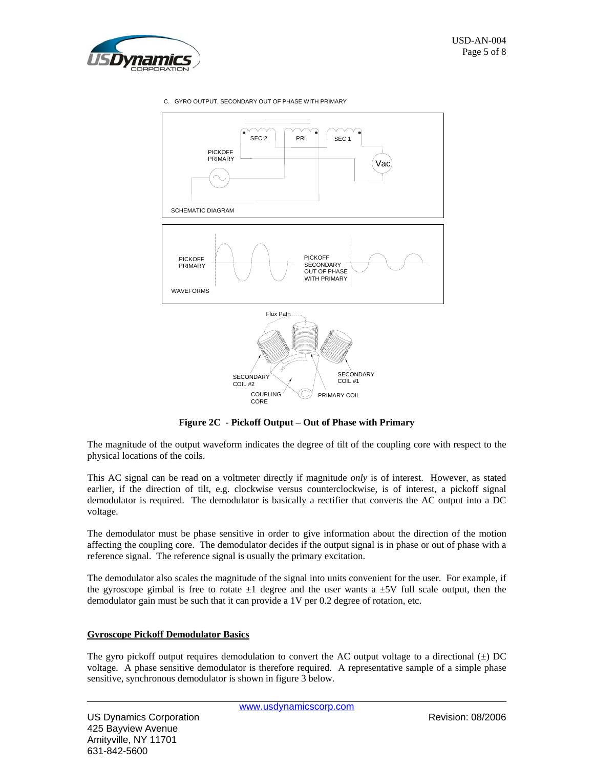

C. GYRO OUTPUT, SECONDARY OUT OF PHASE WITH PRIMARY



**Figure 2C - Pickoff Output – Out of Phase with Primary** 

The magnitude of the output waveform indicates the degree of tilt of the coupling core with respect to the physical locations of the coils.

This AC signal can be read on a voltmeter directly if magnitude *only* is of interest. However, as stated earlier, if the direction of tilt, e.g. clockwise versus counterclockwise, is of interest, a pickoff signal demodulator is required. The demodulator is basically a rectifier that converts the AC output into a DC voltage.

The demodulator must be phase sensitive in order to give information about the direction of the motion affecting the coupling core. The demodulator decides if the output signal is in phase or out of phase with a reference signal. The reference signal is usually the primary excitation.

The demodulator also scales the magnitude of the signal into units convenient for the user. For example, if the gyroscope gimbal is free to rotate  $\pm 1$  degree and the user wants a  $\pm 5V$  full scale output, then the demodulator gain must be such that it can provide a 1V per 0.2 degree of rotation, etc.

### **Gyroscope Pickoff Demodulator Basics**

The gyro pickoff output requires demodulation to convert the AC output voltage to a directional  $(\pm)$  DC voltage. A phase sensitive demodulator is therefore required. A representative sample of a simple phase sensitive, synchronous demodulator is shown in figure 3 below.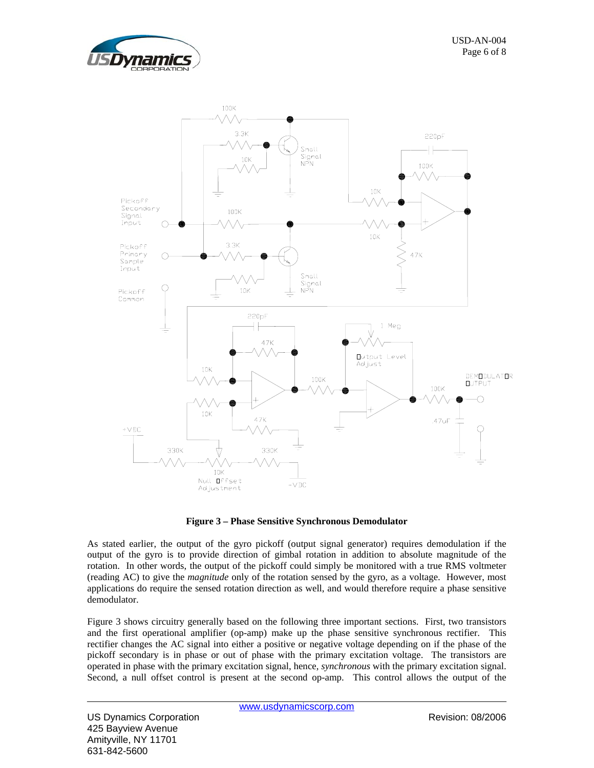



**Figure 3 – Phase Sensitive Synchronous Demodulator**

As stated earlier, the output of the gyro pickoff (output signal generator) requires demodulation if the output of the gyro is to provide direction of gimbal rotation in addition to absolute magnitude of the rotation. In other words, the output of the pickoff could simply be monitored with a true RMS voltmeter (reading AC) to give the *magnitude* only of the rotation sensed by the gyro, as a voltage. However, most applications do require the sensed rotation direction as well, and would therefore require a phase sensitive demodulator.

Figure 3 shows circuitry generally based on the following three important sections. First, two transistors and the first operational amplifier (op-amp) make up the phase sensitive synchronous rectifier. This rectifier changes the AC signal into either a positive or negative voltage depending on if the phase of the pickoff secondary is in phase or out of phase with the primary excitation voltage. The transistors are operated in phase with the primary excitation signal, hence, *synchronous* with the primary excitation signal. Second, a null offset control is present at the second op-amp. This control allows the output of the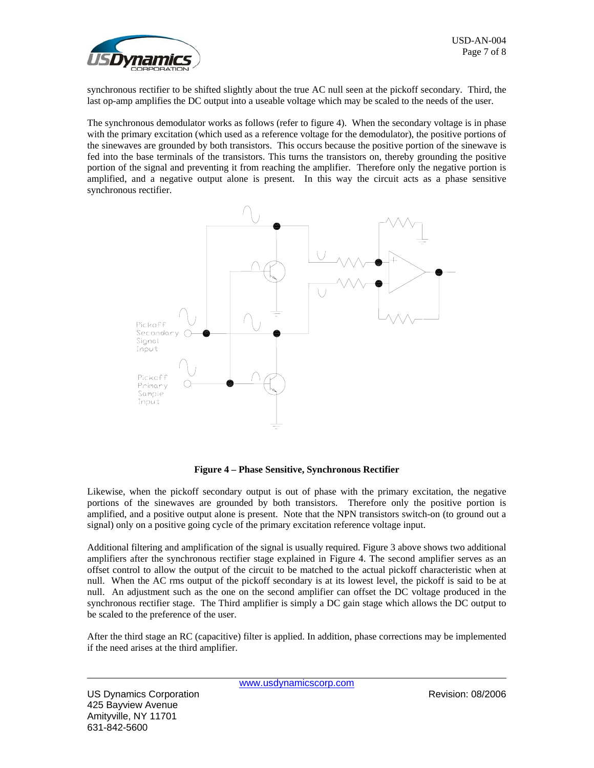

synchronous rectifier to be shifted slightly about the true AC null seen at the pickoff secondary. Third, the last op-amp amplifies the DC output into a useable voltage which may be scaled to the needs of the user.

The synchronous demodulator works as follows (refer to figure 4). When the secondary voltage is in phase with the primary excitation (which used as a reference voltage for the demodulator), the positive portions of the sinewaves are grounded by both transistors. This occurs because the positive portion of the sinewave is fed into the base terminals of the transistors. This turns the transistors on, thereby grounding the positive portion of the signal and preventing it from reaching the amplifier. Therefore only the negative portion is amplified, and a negative output alone is present. In this way the circuit acts as a phase sensitive synchronous rectifier.



**Figure 4 – Phase Sensitive, Synchronous Rectifier** 

Likewise, when the pickoff secondary output is out of phase with the primary excitation, the negative portions of the sinewaves are grounded by both transistors. Therefore only the positive portion is amplified, and a positive output alone is present. Note that the NPN transistors switch-on (to ground out a signal) only on a positive going cycle of the primary excitation reference voltage input.

Additional filtering and amplification of the signal is usually required. Figure 3 above shows two additional amplifiers after the synchronous rectifier stage explained in Figure 4. The second amplifier serves as an offset control to allow the output of the circuit to be matched to the actual pickoff characteristic when at null. When the AC rms output of the pickoff secondary is at its lowest level, the pickoff is said to be at null. An adjustment such as the one on the second amplifier can offset the DC voltage produced in the synchronous rectifier stage. The Third amplifier is simply a DC gain stage which allows the DC output to be scaled to the preference of the user.

After the third stage an RC (capacitive) filter is applied. In addition, phase corrections may be implemented if the need arises at the third amplifier.